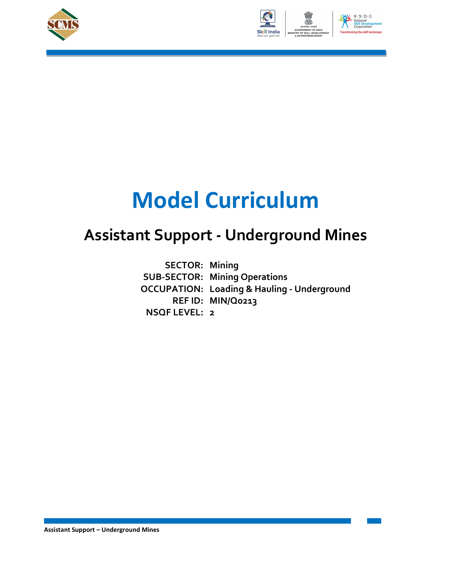



# Model Curriculum

## Assistant Support - Underground Mines

SECTOR: Mining<br>SUB-SECTOR: Mining Operat<br>OCCUPATION: Loading & Hau SUB-SECTOR: Mining Operations OCCUPATION: Loading & Hauling - Underground REF ID: MIN/Q0213 NSQF LEVEL: 2 **SECTOR: Mining**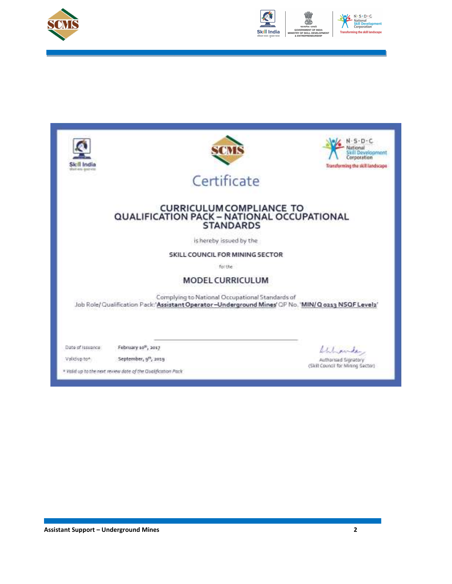



| shah anu-gearves                                                                                                                                            | SOVR                                                                                                                                                  | $-5 - D + C$<br>ational<br>Skill Development<br>Corporation<br>Transforming the skill landscape |
|-------------------------------------------------------------------------------------------------------------------------------------------------------------|-------------------------------------------------------------------------------------------------------------------------------------------------------|-------------------------------------------------------------------------------------------------|
|                                                                                                                                                             | Certificate                                                                                                                                           |                                                                                                 |
|                                                                                                                                                             | <b>CURRICULUM COMPLIANCE TO</b><br>QUALIFICATION PACK - NATIONAL OCCUPATIONAL<br><b>STANDARDS</b>                                                     |                                                                                                 |
|                                                                                                                                                             | is hereby issued by the                                                                                                                               |                                                                                                 |
|                                                                                                                                                             | SKILL COUNCIL FOR MINING SECTOR                                                                                                                       |                                                                                                 |
|                                                                                                                                                             | for the                                                                                                                                               |                                                                                                 |
|                                                                                                                                                             | <b>MODEL CURRICULUM</b>                                                                                                                               |                                                                                                 |
|                                                                                                                                                             | Complying to National Occupational Standards of<br>Job Role/Qualification Pack:'Assistant Operator-Underground Mines' QP No. 'MIN/Q 0213 NSQF Level2' |                                                                                                 |
| Date of Issuance:<br>February 10 <sup>m</sup> , 2017<br>September, 9th, 2019<br>Validup to*<br>* Valid up to the next review date of the Qualification Pack |                                                                                                                                                       | Shipmeder<br>Authorised Signatory<br>(Skill Council for Mining Sector)                          |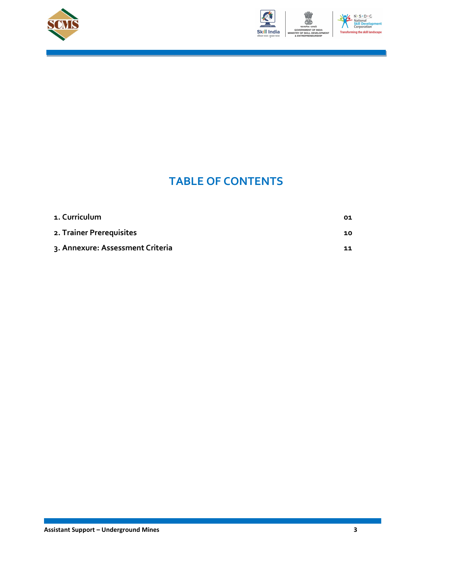



### TABLE OF CONTENTS

| 1. Curriculum                    | 01 |
|----------------------------------|----|
| 2. Trainer Prerequisites         | 10 |
| 3. Annexure: Assessment Criteria | 11 |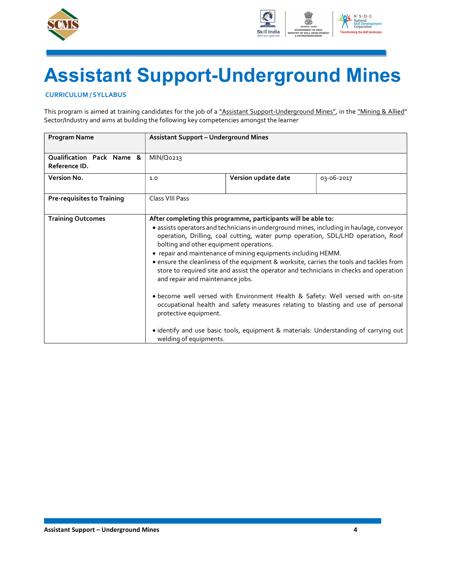



# Assistant Support-Underground Mines

#### CURRICULUM / SYLLABUS

This program is aimed at training candidates for the job of a "Assistant Support-Underground Mines", in the "Mining & Allied" Sector/Industry and aims at building the following key competencies amongst the learner

| <b>Program Name</b>                        | <b>Assistant Support - Underground Mines</b>                                                                                   |                                                                                                                                 |                                                                                                                                                                                                                                                                                                                                                                                                                                                                                                                                                                                                                                   |
|--------------------------------------------|--------------------------------------------------------------------------------------------------------------------------------|---------------------------------------------------------------------------------------------------------------------------------|-----------------------------------------------------------------------------------------------------------------------------------------------------------------------------------------------------------------------------------------------------------------------------------------------------------------------------------------------------------------------------------------------------------------------------------------------------------------------------------------------------------------------------------------------------------------------------------------------------------------------------------|
| Qualification Pack Name &<br>Reference ID. | MIN/Q0213                                                                                                                      |                                                                                                                                 |                                                                                                                                                                                                                                                                                                                                                                                                                                                                                                                                                                                                                                   |
| Version No.                                | 1.0                                                                                                                            | Version update date                                                                                                             | 03-06-2017                                                                                                                                                                                                                                                                                                                                                                                                                                                                                                                                                                                                                        |
| <b>Pre-requisites to Training</b>          | Class VIII Pass                                                                                                                |                                                                                                                                 |                                                                                                                                                                                                                                                                                                                                                                                                                                                                                                                                                                                                                                   |
| <b>Training Outcomes</b>                   | bolting and other equipment operations.<br>and repair and maintenance jobs.<br>protective equipment.<br>welding of equipments. | After completing this programme, participants will be able to:<br>• repair and maintenance of mining equipments including HEMM. | · assists operators and technicians in underground mines, including in haulage, conveyor<br>operation, Drilling, coal cutting, water pump operation, SDL/LHD operation, Roof<br>• ensure the cleanliness of the equipment & worksite, carries the tools and tackles from<br>store to required site and assist the operator and technicians in checks and operation<br>. become well versed with Environment Health & Safety: Well versed with on-site<br>occupational health and safety measures relating to blasting and use of personal<br>• identify and use basic tools, equipment & materials: Understanding of carrying out |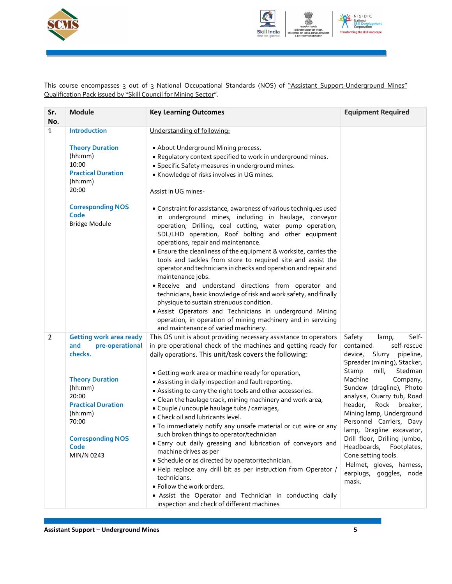



This course encompasses 3 out of 3 National Occupational Standards (NOS) of <u>"Assistant Support-Underground Mines"</u> Qualification Pack issued by "Skill Council for Mining Sector".

| Sr.<br>No.   | <b>Module</b>                                                                                                                                                                                                        | <b>Key Learning Outcomes</b>                                                                                                                                                                                                                                                                                                                                                                                                                                                                                                                                                                                                                                                                                                                                                                                                                                                                                                                                                                                                                                                                                                  | <b>Equipment Required</b>                                                                                                                                                                                                                                                                                                                                                                                                                                                                           |
|--------------|----------------------------------------------------------------------------------------------------------------------------------------------------------------------------------------------------------------------|-------------------------------------------------------------------------------------------------------------------------------------------------------------------------------------------------------------------------------------------------------------------------------------------------------------------------------------------------------------------------------------------------------------------------------------------------------------------------------------------------------------------------------------------------------------------------------------------------------------------------------------------------------------------------------------------------------------------------------------------------------------------------------------------------------------------------------------------------------------------------------------------------------------------------------------------------------------------------------------------------------------------------------------------------------------------------------------------------------------------------------|-----------------------------------------------------------------------------------------------------------------------------------------------------------------------------------------------------------------------------------------------------------------------------------------------------------------------------------------------------------------------------------------------------------------------------------------------------------------------------------------------------|
| $\mathbf{1}$ | Introduction<br><b>Theory Duration</b><br>(hh:mm)<br>10:00<br><b>Practical Duration</b><br>(hh:mm)<br>20:00<br><b>Corresponding NOS</b><br>Code<br><b>Bridge Module</b>                                              | Understanding of following:<br>. About Underground Mining process.<br>. Regulatory context specified to work in underground mines.<br>· Specific Safety measures in underground mines.<br>• Knowledge of risks involves in UG mines.<br>Assist in UG mines-<br>• Constraint for assistance, awareness of various techniques used<br>in underground mines, including in haulage, conveyor<br>operation, Drilling, coal cutting, water pump operation,<br>SDL/LHD operation, Roof bolting and other equipment<br>operations, repair and maintenance.<br>• Ensure the cleanliness of the equipment & worksite, carries the<br>tools and tackles from store to required site and assist the<br>operator and technicians in checks and operation and repair and<br>maintenance jobs.<br>. Receive and understand directions from operator and<br>technicians, basic knowledge of risk and work safety, and finally<br>physique to sustain strenuous condition.<br>· Assist Operators and Technicians in underground Mining<br>operation, in operation of mining machinery and in servicing<br>and maintenance of varied machinery. |                                                                                                                                                                                                                                                                                                                                                                                                                                                                                                     |
| 2            | <b>Getting work area ready</b><br>pre-operational<br>and<br>checks.<br><b>Theory Duration</b><br>(hh:mm)<br>20:00<br><b>Practical Duration</b><br>(hh:mm)<br>70:00<br><b>Corresponding NOS</b><br>Code<br>MIN/N 0243 | This OS unit is about providing necessary assistance to operators<br>in pre operational check of the machines and getting ready for<br>daily operations. This unit/task covers the following:<br>• Getting work area or machine ready for operation,<br>• Assisting in daily inspection and fault reporting.<br>• Assisting to carry the right tools and other accessories.<br>• Clean the haulage track, mining machinery and work area,<br>· Couple / uncouple haulage tubs / carriages,<br>• Check oil and lubricants level.<br>. To immediately notify any unsafe material or cut wire or any<br>such broken things to operator/technician<br>. Carry out daily greasing and lubrication of conveyors and<br>machine drives as per<br>· Schedule or as directed by operator/technician.<br>. Help replace any drill bit as per instruction from Operator /<br>technicians.<br>. Follow the work orders.<br>· Assist the Operator and Technician in conducting daily<br>inspection and check of different machines                                                                                                         | Safety<br>Self-<br>lamp,<br>self-rescue<br>contained<br>device, Slurry<br>pipeline,<br>Spreader (mining), Stacker,<br>mill,<br>Stedman<br>Stamp<br>Machine<br>Company,<br>Sundew (dragline), Photo<br>analysis, Quarry tub, Road<br>header,<br>Rock breaker,<br>Mining lamp, Underground<br>Personnel Carriers, Davy<br>lamp, Dragline excavator,<br>Drill floor, Drilling jumbo,<br>Headboards, Footplates,<br>Cone setting tools.<br>Helmet, gloves, harness,<br>earplugs, goggles, node<br>mask. |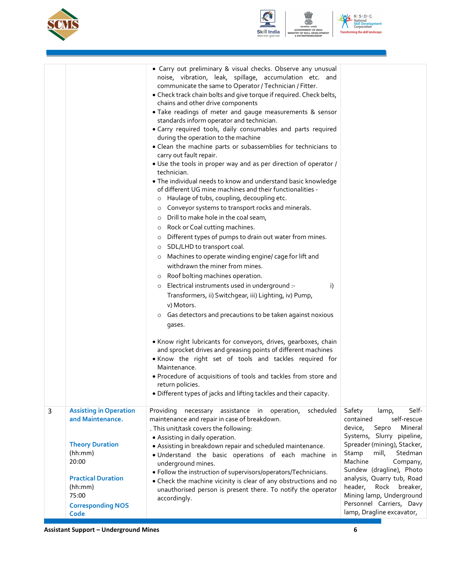



|   |                                                                                                                                                                              | • Carry out preliminary & visual checks. Observe any unusual<br>noise, vibration, leak, spillage, accumulation etc. and<br>communicate the same to Operator / Technician / Fitter.<br>• Check track chain bolts and give torque if required. Check belts,<br>chains and other drive components<br>. Take readings of meter and gauge measurements & sensor<br>standards inform operator and technician.<br>· Carry required tools, daily consumables and parts required<br>during the operation to the machine<br>• Clean the machine parts or subassemblies for technicians to<br>carry out fault repair.<br>. Use the tools in proper way and as per direction of operator /<br>technician.<br>. The individual needs to know and understand basic knowledge<br>of different UG mine machines and their functionalities -<br>Haulage of tubs, coupling, decoupling etc.<br>$\circ$<br>Conveyor systems to transport rocks and minerals.<br>$\circ$<br>Drill to make hole in the coal seam,<br>$\circ$<br>Rock or Coal cutting machines.<br>$\circ$<br>Different types of pumps to drain out water from mines.<br>$\circ$<br>SDL/LHD to transport coal.<br>$\circ$<br>Machines to operate winding engine/ cage for lift and<br>$\circ$<br>withdrawn the miner from mines.<br>Roof bolting machines operation.<br>$\circ$<br>Electrical instruments used in underground :-<br>i)<br>$\circ$<br>Transformers, ii) Switchgear, iii) Lighting, iv) Pump,<br>v) Motors.<br>Gas detectors and precautions to be taken against noxious<br>$\circ$<br>gases.<br>. Know right lubricants for conveyors, drives, gearboxes, chain<br>and sprocket drives and greasing points of different machines<br>. Know the right set of tools and tackles required for<br>Maintenance.<br>. Procedure of acquisitions of tools and tackles from store and<br>return policies.<br>· Different types of jacks and lifting tackles and their capacity. |                                                                                                                                                                                                                                                                                                                                                                             |
|---|------------------------------------------------------------------------------------------------------------------------------------------------------------------------------|----------------------------------------------------------------------------------------------------------------------------------------------------------------------------------------------------------------------------------------------------------------------------------------------------------------------------------------------------------------------------------------------------------------------------------------------------------------------------------------------------------------------------------------------------------------------------------------------------------------------------------------------------------------------------------------------------------------------------------------------------------------------------------------------------------------------------------------------------------------------------------------------------------------------------------------------------------------------------------------------------------------------------------------------------------------------------------------------------------------------------------------------------------------------------------------------------------------------------------------------------------------------------------------------------------------------------------------------------------------------------------------------------------------------------------------------------------------------------------------------------------------------------------------------------------------------------------------------------------------------------------------------------------------------------------------------------------------------------------------------------------------------------------------------------------------------------------------------------------------------------------------------------------------------------------|-----------------------------------------------------------------------------------------------------------------------------------------------------------------------------------------------------------------------------------------------------------------------------------------------------------------------------------------------------------------------------|
| 3 | <b>Assisting in Operation</b><br>and Maintenance.<br><b>Theory Duration</b><br>(hh:mm)<br>20:00<br><b>Practical Duration</b><br>(hh:mm)<br>75:00<br><b>Corresponding NOS</b> | scheduled<br>Providing<br>necessary<br>assistance in operation,<br>maintenance and repair in case of breakdown.<br>. This unit/task covers the following:<br>• Assisting in daily operation.<br>• Assisting in breakdown repair and scheduled maintenance.<br>. Understand the basic operations of each machine in<br>underground mines.<br>• Follow the instruction of supervisors/operators/Technicians.<br>• Check the machine vicinity is clear of any obstructions and no<br>unauthorised person is present there. To notify the operator<br>accordingly.                                                                                                                                                                                                                                                                                                                                                                                                                                                                                                                                                                                                                                                                                                                                                                                                                                                                                                                                                                                                                                                                                                                                                                                                                                                                                                                                                                   | Safety<br>Self-<br>lamp,<br>self-rescue<br>contained<br>device,<br>Sepro<br>Mineral<br>Systems, Slurry pipeline,<br>Spreader (mining), Stacker,<br>Stamp<br>mill,<br>Stedman<br>Machine<br>Company,<br>Sundew (dragline), Photo<br>analysis, Quarry tub, Road<br>header, Rock breaker,<br>Mining lamp, Underground<br>Personnel Carriers, Davy<br>lamp, Dragline excavator, |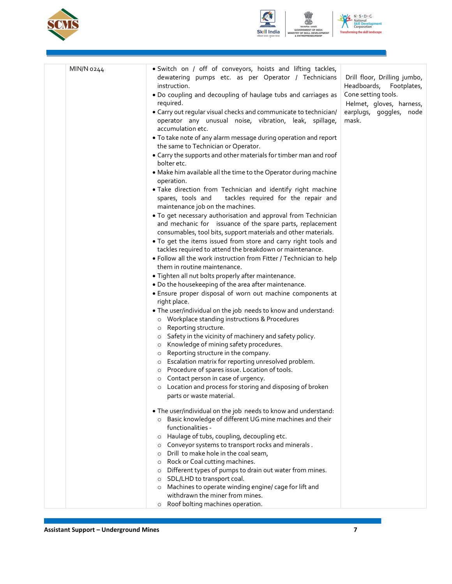



 $N \cdot S \cdot D \cdot C$ National<br>Skill Develop<br>Corporation ming the skill landscape Transfo

| MIN/N 0244 | · Switch on / off of conveyors, hoists and lifting tackles,<br>dewatering pumps etc. as per Operator / Technicians         | Drill floor, Drilling jumbo,                                 |
|------------|----------------------------------------------------------------------------------------------------------------------------|--------------------------------------------------------------|
|            | instruction.<br>. Do coupling and decoupling of haulage tubs and carriages as<br>required.                                 | Headboards, Footplates,<br>Cone setting tools.               |
|            | • Carry out regular visual checks and communicate to technician/<br>operator any unusual noise, vibration, leak, spillage, | Helmet, gloves, harness,<br>earplugs, goggles, node<br>mask. |
|            | accumulation etc.                                                                                                          |                                                              |
|            | . To take note of any alarm message during operation and report<br>the same to Technician or Operator.                     |                                                              |
|            | • Carry the supports and other materials for timber man and roof<br>bolter etc.                                            |                                                              |
|            | . Make him available all the time to the Operator during machine<br>operation.                                             |                                                              |
|            | . Take direction from Technician and identify right machine                                                                |                                                              |
|            | tackles required for the repair and<br>spares, tools and                                                                   |                                                              |
|            | maintenance job on the machines.<br>. To get necessary authorisation and approval from Technician                          |                                                              |
|            | and mechanic for issuance of the spare parts, replacement                                                                  |                                                              |
|            | consumables, tool bits, support materials and other materials.                                                             |                                                              |
|            | . To get the items issued from store and carry right tools and                                                             |                                                              |
|            | tackles required to attend the breakdown or maintenance.                                                                   |                                                              |
|            | . Follow all the work instruction from Fitter / Technician to help                                                         |                                                              |
|            | them in routine maintenance.                                                                                               |                                                              |
|            | . Tighten all nut bolts properly after maintenance.<br>. Do the housekeeping of the area after maintenance.                |                                                              |
|            | . Ensure proper disposal of worn out machine components at                                                                 |                                                              |
|            | right place.                                                                                                               |                                                              |
|            | . The user/individual on the job needs to know and understand:                                                             |                                                              |
|            | Workplace standing instructions & Procedures<br>$\circ$                                                                    |                                                              |
|            | Reporting structure.<br>$\circ$                                                                                            |                                                              |
|            | Safety in the vicinity of machinery and safety policy.<br>$\circ$<br>Knowledge of mining safety procedures.<br>$\circ$     |                                                              |
|            | Reporting structure in the company.<br>$\circ$                                                                             |                                                              |
|            | Escalation matrix for reporting unresolved problem.<br>$\circ$                                                             |                                                              |
|            | Procedure of spares issue. Location of tools.<br>$\circ$                                                                   |                                                              |
|            | Contact person in case of urgency.<br>$\circ$                                                                              |                                                              |
|            | Location and process for storing and disposing of broken<br>$\circ$                                                        |                                                              |
|            | parts or waste material.                                                                                                   |                                                              |
|            | . The user/individual on the job needs to know and understand:                                                             |                                                              |
|            | Basic knowledge of different UG mine machines and their<br>$\circ$                                                         |                                                              |
|            | functionalities -                                                                                                          |                                                              |
|            | Haulage of tubs, coupling, decoupling etc.<br>$\circ$<br>Conveyor systems to transport rocks and minerals.<br>$\circ$      |                                                              |
|            | Drill to make hole in the coal seam,<br>$\circ$                                                                            |                                                              |
|            | Rock or Coal cutting machines.<br>$\circ$                                                                                  |                                                              |
|            | Different types of pumps to drain out water from mines.<br>$\circ$                                                         |                                                              |
|            | SDL/LHD to transport coal.<br>$\circ$                                                                                      |                                                              |
|            | Machines to operate winding engine/ cage for lift and<br>$\circ$<br>withdrawn the miner from mines.                        |                                                              |
|            | Roof bolting machines operation.<br>$\circ$                                                                                |                                                              |
|            |                                                                                                                            |                                                              |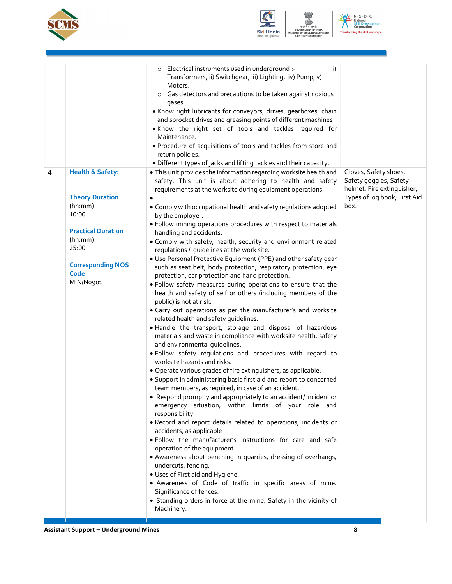



 $N \cdot S \cdot D \cdot C$ National<br>Skill Develop<br>Corporation Transforming the skill landscape

|   |                                                                                                                                                                             | Electrical instruments used in underground :-<br>i)<br>О<br>Transformers, ii) Switchgear, iii) Lighting, iv) Pump, v)<br>Motors.<br>Gas detectors and precautions to be taken against noxious<br>$\circ$<br>gases.<br>. Know right lubricants for conveyors, drives, gearboxes, chain<br>and sprocket drives and greasing points of different machines<br>. Know the right set of tools and tackles required for<br>Maintenance.<br>. Procedure of acquisitions of tools and tackles from store and<br>return policies.<br>· Different types of jacks and lifting tackles and their capacity.                                                                                                                                                                                                                                                                                                                                                                                                                                                                                                                                                                                                                                                                                                                                                                                                                                                                                                                                                                                                                                                                                                                                                                                                                                                                                                                                                                                                                                                                                |                                                                                                                       |
|---|-----------------------------------------------------------------------------------------------------------------------------------------------------------------------------|------------------------------------------------------------------------------------------------------------------------------------------------------------------------------------------------------------------------------------------------------------------------------------------------------------------------------------------------------------------------------------------------------------------------------------------------------------------------------------------------------------------------------------------------------------------------------------------------------------------------------------------------------------------------------------------------------------------------------------------------------------------------------------------------------------------------------------------------------------------------------------------------------------------------------------------------------------------------------------------------------------------------------------------------------------------------------------------------------------------------------------------------------------------------------------------------------------------------------------------------------------------------------------------------------------------------------------------------------------------------------------------------------------------------------------------------------------------------------------------------------------------------------------------------------------------------------------------------------------------------------------------------------------------------------------------------------------------------------------------------------------------------------------------------------------------------------------------------------------------------------------------------------------------------------------------------------------------------------------------------------------------------------------------------------------------------------|-----------------------------------------------------------------------------------------------------------------------|
| 4 | <b>Health &amp; Safety:</b><br><b>Theory Duration</b><br>(hh:mm)<br>10:00<br><b>Practical Duration</b><br>(hh:mm)<br>25:00<br><b>Corresponding NOS</b><br>Code<br>MIN/No901 | . This unit provides the information regarding worksite health and<br>safety. This unit is about adhering to health and safety<br>requirements at the worksite during equipment operations.<br>• Comply with occupational health and safety regulations adopted<br>by the employer.<br>· Follow mining operations procedures with respect to materials<br>handling and accidents.<br>. Comply with safety, health, security and environment related<br>regulations / guidelines at the work site.<br>• Use Personal Protective Equipment (PPE) and other safety gear<br>such as seat belt, body protection, respiratory protection, eye<br>protection, ear protection and hand protection.<br>. Follow safety measures during operations to ensure that the<br>health and safety of self or others (including members of the<br>public) is not at risk.<br>• Carry out operations as per the manufacturer's and worksite<br>related health and safety guidelines.<br>. Handle the transport, storage and disposal of hazardous<br>materials and waste in compliance with worksite health, safety<br>and environmental guidelines.<br>. Follow safety regulations and procedures with regard to<br>worksite hazards and risks.<br>• Operate various grades of fire extinguishers, as applicable.<br>• Support in administering basic first aid and report to concerned<br>team members, as required, in case of an accident.<br>• Respond promptly and appropriately to an accident/incident or<br>emergency situation, within limits of your role and<br>responsibility.<br>. Record and report details related to operations, incidents or<br>accidents, as applicable<br>. Follow the manufacturer's instructions for care and safe<br>operation of the equipment.<br>• Awareness about benching in quarries, dressing of overhangs,<br>undercuts, fencing.<br>• Uses of First aid and Hygiene.<br>· Awareness of Code of traffic in specific areas of mine.<br>Significance of fences.<br>• Standing orders in force at the mine. Safety in the vicinity of<br>Machinery. | Gloves, Safety shoes,<br>Safety goggles, Safety<br>helmet, Fire extinguisher,<br>Types of log book, First Aid<br>box. |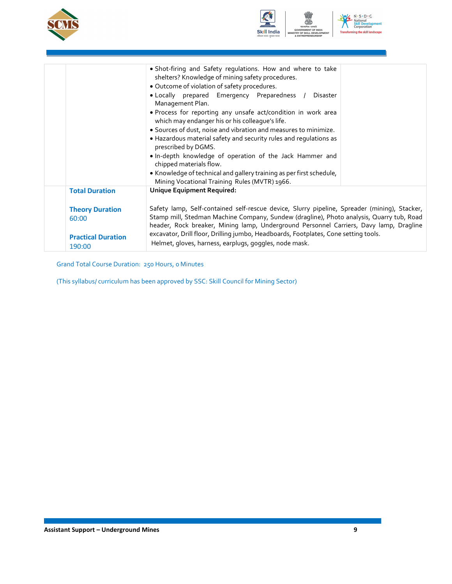



|                                                                        | • Shot-firing and Safety regulations. How and where to take<br>shelters? Knowledge of mining safety procedures.<br>· Outcome of violation of safety procedures.<br>· Locally prepared Emergency Preparedness /<br>Disaster<br>Management Plan.<br>• Process for reporting any unsafe act/condition in work area<br>which may endanger his or his colleague's life.<br>· Sources of dust, noise and vibration and measures to minimize.<br>• Hazardous material safety and security rules and regulations as<br>prescribed by DGMS.<br>. In-depth knowledge of operation of the Jack Hammer and<br>chipped materials flow.<br>• Knowledge of technical and gallery training as per first schedule, |
|------------------------------------------------------------------------|---------------------------------------------------------------------------------------------------------------------------------------------------------------------------------------------------------------------------------------------------------------------------------------------------------------------------------------------------------------------------------------------------------------------------------------------------------------------------------------------------------------------------------------------------------------------------------------------------------------------------------------------------------------------------------------------------|
| <b>Total Duration</b>                                                  | Mining Vocational Training Rules (MVTR) 1966.<br>Unique Equipment Required:                                                                                                                                                                                                                                                                                                                                                                                                                                                                                                                                                                                                                       |
| <b>Theory Duration</b><br>60:00<br><b>Practical Duration</b><br>190:00 | Safety lamp, Self-contained self-rescue device, Slurry pipeline, Spreader (mining), Stacker,<br>Stamp mill, Stedman Machine Company, Sundew (dragline), Photo analysis, Quarry tub, Road<br>header, Rock breaker, Mining lamp, Underground Personnel Carriers, Davy lamp, Dragline<br>excavator, Drill floor, Drilling jumbo, Headboards, Footplates, Cone setting tools.<br>Helmet, gloves, harness, earplugs, goggles, node mask.                                                                                                                                                                                                                                                               |

Grand Total Course Duration: 250 Hours, 0 Minutes

(This syllabus/ curriculum has been approved by SSC: Skill Council for Mining Sector)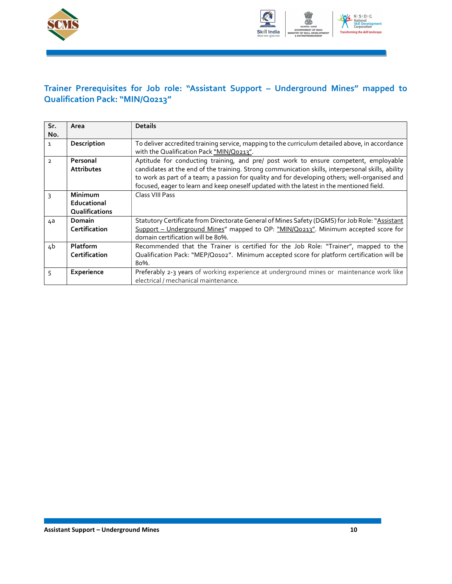



### Trainer Prerequisites for Job role: "Assistant Support – Underground Mines" mapped to Qualification Pack: "MIN/Q0213"

| Sr.            | Area                                     | <b>Details</b>                                                                                                                                                                                                                                                                                                                                                                          |
|----------------|------------------------------------------|-----------------------------------------------------------------------------------------------------------------------------------------------------------------------------------------------------------------------------------------------------------------------------------------------------------------------------------------------------------------------------------------|
| No.            |                                          |                                                                                                                                                                                                                                                                                                                                                                                         |
| $\mathbf{1}$   | Description                              | To deliver accredited training service, mapping to the curriculum detailed above, in accordance<br>with the Qualification Pack "MIN/Q0213".                                                                                                                                                                                                                                             |
| $\overline{2}$ | Personal<br><b>Attributes</b>            | Aptitude for conducting training, and pre/ post work to ensure competent, employable<br>candidates at the end of the training. Strong communication skills, interpersonal skills, ability<br>to work as part of a team; a passion for quality and for developing others; well-organised and<br>focused, eager to learn and keep oneself updated with the latest in the mentioned field. |
| 3              | Minimum<br>Educational<br>Qualifications | Class VIII Pass                                                                                                                                                                                                                                                                                                                                                                         |
| 4a             | <b>Domain</b><br>Certification           | Statutory Certificate from Directorate General of Mines Safety (DGMS) for Job Role: "Assistant<br>Support - Underground Mines" mapped to QP: "MIN/Qo213". Minimum accepted score for<br>domain certification will be 80%.                                                                                                                                                               |
| 4 <sub>b</sub> | <b>Platform</b><br>Certification         | Recommended that the Trainer is certified for the Job Role: "Trainer", mapped to the<br>Qualification Pack: "MEP/Q0102". Minimum accepted score for platform certification will be<br>80%.                                                                                                                                                                                              |
| 5              | Experience                               | Preferably 2-3 years of working experience at underground mines or maintenance work like<br>electrical / mechanical maintenance.                                                                                                                                                                                                                                                        |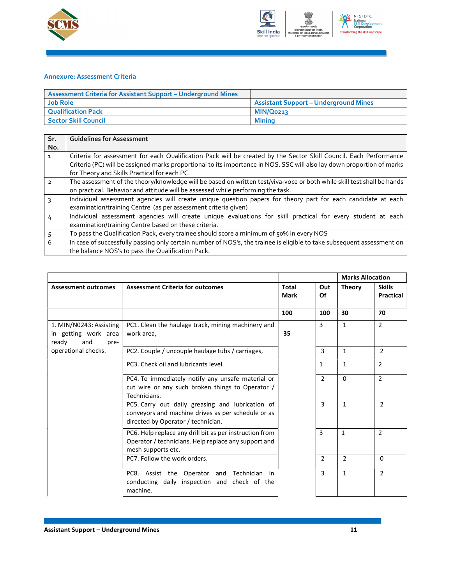



#### Annexure: Assessment Criteria

| <b>Assessment Criteria for Assistant Support – Underground Mines</b> |                                              |
|----------------------------------------------------------------------|----------------------------------------------|
| <b>Job Role</b>                                                      | <b>Assistant Support - Underground Mines</b> |
| Qualification Pack                                                   | MIN/Q0213                                    |
| <b>Sector Skill Council</b>                                          | Minina                                       |

| Sr.            | <b>Guidelines for Assessment</b>                                                                                                                                                                                                                                                            |
|----------------|---------------------------------------------------------------------------------------------------------------------------------------------------------------------------------------------------------------------------------------------------------------------------------------------|
| No.            |                                                                                                                                                                                                                                                                                             |
| $\mathbf{1}$   | Criteria for assessment for each Qualification Pack will be created by the Sector Skill Council. Each Performance<br>Criteria (PC) will be assigned marks proportional to its importance in NOS. SSC will also lay down proportion of marks<br>for Theory and Skills Practical for each PC. |
| $\overline{2}$ | The assessment of the theory/knowledge will be based on written test/viva-voce or both while skill test shall be hands<br>on practical. Behavior and attitude will be assessed while performing the task.                                                                                   |
|                | Individual assessment agencies will create unique question papers for theory part for each candidate at each<br>examination/training Centre (as per assessment criteria given)                                                                                                              |
| 4              | Individual assessment agencies will create unique evaluations for skill practical for every student at each<br>examination/training Centre based on these criteria.                                                                                                                         |
|                | To pass the Qualification Pack, every trainee should score a minimum of 50% in every NOS                                                                                                                                                                                                    |
| 6              | In case of successfully passing only certain number of NOS's, the trainee is eligible to take subsequent assessment on<br>the balance NOS's to pass the Qualification Pack.                                                                                                                 |

|                                                                         |                                                                                                                                              |                             |              | <b>Marks Allocation</b> |                                   |
|-------------------------------------------------------------------------|----------------------------------------------------------------------------------------------------------------------------------------------|-----------------------------|--------------|-------------------------|-----------------------------------|
| <b>Assessment outcomes</b>                                              | <b>Assessment Criteria for outcomes</b>                                                                                                      | <b>Total</b><br><b>Mark</b> | Out<br>Οf    | <b>Theory</b>           | <b>Skills</b><br><b>Practical</b> |
|                                                                         |                                                                                                                                              | 100                         | 100          | 30                      | 70                                |
| 1. MIN/N0243: Assisting<br>in getting work area<br>ready<br>and<br>pre- | PC1. Clean the haulage track, mining machinery and<br>work area,                                                                             | 35                          | 3            | $\mathbf{1}$            | $\overline{2}$                    |
| operational checks.                                                     | PC2. Couple / uncouple haulage tubs / carriages,                                                                                             |                             | 3            | $\mathbf{1}$            | $\overline{2}$                    |
|                                                                         | PC3. Check oil and lubricants level.                                                                                                         |                             | $\mathbf{1}$ | $\mathbf{1}$            | $\overline{2}$                    |
|                                                                         | PC4. To immediately notify any unsafe material or<br>cut wire or any such broken things to Operator /<br>Technicians.                        |                             | 2            | $\Omega$                | $\overline{2}$                    |
|                                                                         | PC5. Carry out daily greasing and lubrication of<br>conveyors and machine drives as per schedule or as<br>directed by Operator / technician. |                             | 3            | $\mathbf{1}$            | $\overline{2}$                    |
|                                                                         | PC6. Help replace any drill bit as per instruction from<br>Operator / technicians. Help replace any support and<br>mesh supports etc.        |                             | 3            | 1                       | $\overline{2}$                    |
|                                                                         | PC7. Follow the work orders.                                                                                                                 |                             | 2            | $\overline{2}$          | $\Omega$                          |
|                                                                         | PC8. Assist the Operator and Technician in<br>conducting daily inspection and check of the<br>machine.                                       |                             | 3            | $\mathbf{1}$            | $\overline{2}$                    |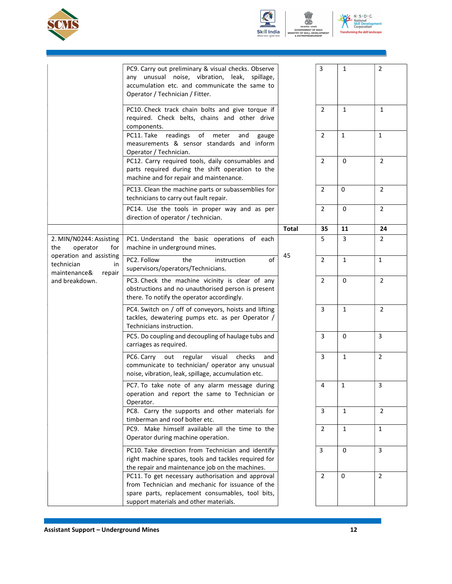



 $N \cdot S \cdot D \cdot C$ National<br>Skill Develop<br>Corporation ming the skill landscape **Transfo** 

|                                                                       | PC9. Carry out preliminary & visual checks. Observe<br>any unusual noise, vibration, leak, spillage,<br>accumulation etc. and communicate the same to<br>Operator / Technician / Fitter.            |              | 3              | $\mathbf{1}$ | $\overline{2}$ |
|-----------------------------------------------------------------------|-----------------------------------------------------------------------------------------------------------------------------------------------------------------------------------------------------|--------------|----------------|--------------|----------------|
|                                                                       | PC10. Check track chain bolts and give torque if<br>required. Check belts, chains and other drive<br>components.                                                                                    |              | $\overline{2}$ | $\mathbf{1}$ | $\mathbf{1}$   |
|                                                                       | readings<br>of meter<br>PC11. Take<br>and<br>gauge<br>measurements & sensor standards and inform<br>Operator / Technician.                                                                          |              | $\overline{2}$ | $\mathbf{1}$ | $\mathbf{1}$   |
|                                                                       | PC12. Carry required tools, daily consumables and<br>parts required during the shift operation to the<br>machine and for repair and maintenance.                                                    |              | $\overline{2}$ | 0            | $\overline{2}$ |
|                                                                       | PC13. Clean the machine parts or subassemblies for<br>technicians to carry out fault repair.                                                                                                        |              | 2              | $\mathsf 0$  | $\overline{2}$ |
|                                                                       | PC14. Use the tools in proper way and as per<br>direction of operator / technician.                                                                                                                 |              | $\overline{2}$ | 0            | $\overline{2}$ |
|                                                                       |                                                                                                                                                                                                     | <b>Total</b> | 35             | 11           | 24             |
| 2. MIN/N0244: Assisting<br>the<br>operator<br>for                     | PC1. Understand the basic operations of each<br>machine in underground mines.                                                                                                                       |              | 5              | 3            | 2              |
| operation and assisting<br>technician<br>in<br>maintenance&<br>repair | PC2. Follow<br>the<br>of<br>instruction<br>supervisors/operators/Technicians.                                                                                                                       | 45           | $\overline{2}$ | $\mathbf{1}$ | $\mathbf{1}$   |
| and breakdown.                                                        | PC3. Check the machine vicinity is clear of any<br>obstructions and no unauthorised person is present<br>there. To notify the operator accordingly.                                                 |              | $\overline{2}$ | 0            | $\overline{2}$ |
|                                                                       | PC4. Switch on / off of conveyors, hoists and lifting<br>tackles, dewatering pumps etc. as per Operator /<br>Technicians instruction.                                                               |              | 3              | $\mathbf{1}$ | $\overline{2}$ |
|                                                                       | PC5. Do coupling and decoupling of haulage tubs and<br>carriages as required.                                                                                                                       |              | 3              | 0            | 3              |
|                                                                       | PC6. Carry<br>out regular<br>visual<br>checks<br>and<br>communicate to technician/ operator any unusual<br>noise, vibration, leak, spillage, accumulation etc.                                      |              | 3              | $\mathbf{1}$ | $\overline{2}$ |
|                                                                       | PC7. To take note of any alarm message during<br>operation and report the same to Technician or<br>Operator.                                                                                        |              | 4              | $\mathbf{1}$ | 3              |
|                                                                       | PC8. Carry the supports and other materials for<br>timberman and roof bolter etc.                                                                                                                   |              | 3              | $\mathbf{1}$ | $\overline{2}$ |
|                                                                       | PC9. Make himself available all the time to the<br>Operator during machine operation.                                                                                                               |              | $\overline{2}$ | $\mathbf{1}$ | 1              |
|                                                                       | PC10. Take direction from Technician and identify<br>right machine spares, tools and tackles required for<br>the repair and maintenance job on the machines.                                        | 3            | 0              | 3            |                |
|                                                                       | PC11. To get necessary authorisation and approval<br>from Technician and mechanic for issuance of the<br>spare parts, replacement consumables, tool bits,<br>support materials and other materials. |              | $\overline{2}$ | 0            | $\overline{2}$ |